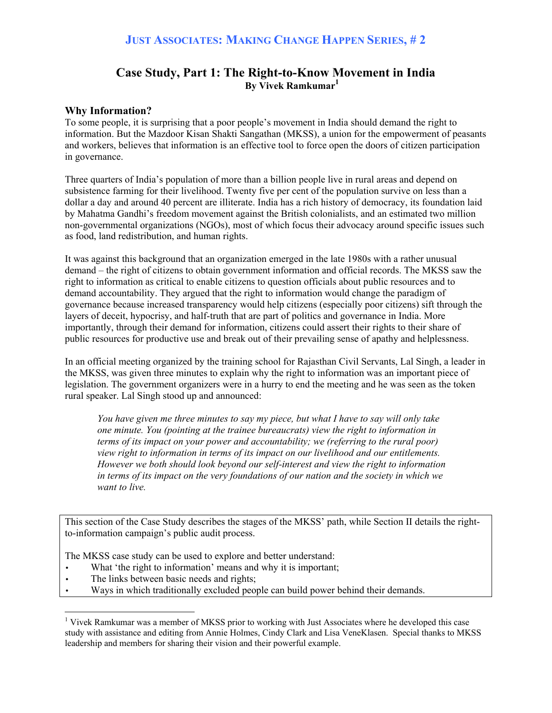## **Case Study, Part 1: The Right-to-Know Movement in India By Vivek Ramkumar<sup>1</sup>**

#### **Why Information?**

To some people, it is surprising that a poor people's movement in India should demand the right to information. But the Mazdoor Kisan Shakti Sangathan (MKSS), a union for the empowerment of peasants and workers, believes that information is an effective tool to force open the doors of citizen participation in governance.

Three quarters of India's population of more than a billion people live in rural areas and depend on subsistence farming for their livelihood. Twenty five per cent of the population survive on less than a dollar a day and around 40 percent are illiterate. India has a rich history of democracy, its foundation laid by Mahatma Gandhi's freedom movement against the British colonialists, and an estimated two million non-governmental organizations (NGOs), most of which focus their advocacy around specific issues such as food, land redistribution, and human rights.

It was against this background that an organization emerged in the late 1980s with a rather unusual demand – the right of citizens to obtain government information and official records. The MKSS saw the right to information as critical to enable citizens to question officials about public resources and to demand accountability. They argued that the right to information would change the paradigm of governance because increased transparency would help citizens (especially poor citizens) sift through the layers of deceit, hypocrisy, and half-truth that are part of politics and governance in India. More importantly, through their demand for information, citizens could assert their rights to their share of public resources for productive use and break out of their prevailing sense of apathy and helplessness.

In an official meeting organized by the training school for Rajasthan Civil Servants, Lal Singh, a leader in the MKSS, was given three minutes to explain why the right to information was an important piece of legislation. The government organizers were in a hurry to end the meeting and he was seen as the token rural speaker. Lal Singh stood up and announced:

*You have given me three minutes to say my piece, but what I have to say will only take one minute. You (pointing at the trainee bureaucrats) view the right to information in terms of its impact on your power and accountability; we (referring to the rural poor) view right to information in terms of its impact on our livelihood and our entitlements. However we both should look beyond our self-interest and view the right to information in terms of its impact on the very foundations of our nation and the society in which we want to live.* 

This section of the Case Study describes the stages of the MKSS' path, while Section II details the rightto-information campaign's public audit process.

The MKSS case study can be used to explore and better understand:

- What 'the right to information' means and why it is important;
- The links between basic needs and rights;

 $\overline{a}$ 

• Ways in which traditionally excluded people can build power behind their demands.

<sup>&</sup>lt;sup>1</sup> Vivek Ramkumar was a member of MKSS prior to working with Just Associates where he developed this case study with assistance and editing from Annie Holmes, Cindy Clark and Lisa VeneKlasen. Special thanks to MKSS leadership and members for sharing their vision and their powerful example.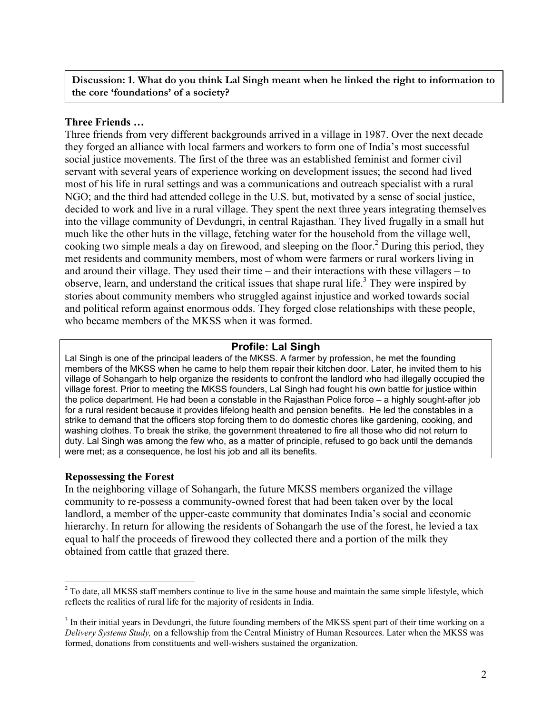#### **Discussion: 1. What do you think Lal Singh meant when he linked the right to information to the core 'foundations' of a society?**

#### **Three Friends …**

Three friends from very different backgrounds arrived in a village in 1987. Over the next decade they forged an alliance with local farmers and workers to form one of India's most successful social justice movements. The first of the three was an established feminist and former civil servant with several years of experience working on development issues; the second had lived most of his life in rural settings and was a communications and outreach specialist with a rural NGO; and the third had attended college in the U.S. but, motivated by a sense of social justice, decided to work and live in a rural village. They spent the next three years integrating themselves into the village community of Devdungri, in central Rajasthan. They lived frugally in a small hut much like the other huts in the village, fetching water for the household from the village well, cooking two simple meals a day on firewood, and sleeping on the floor.<sup>2</sup> During this period, they met residents and community members, most of whom were farmers or rural workers living in and around their village. They used their time – and their interactions with these villagers – to observe, learn, and understand the critical issues that shape rural life.<sup>3</sup> They were inspired by stories about community members who struggled against injustice and worked towards social and political reform against enormous odds. They forged close relationships with these people, who became members of the MKSS when it was formed.

## **Profile: Lal Singh**

Lal Singh is one of the principal leaders of the MKSS. A farmer by profession, he met the founding members of the MKSS when he came to help them repair their kitchen door. Later, he invited them to his village of Sohangarh to help organize the residents to confront the landlord who had illegally occupied the village forest. Prior to meeting the MKSS founders, Lal Singh had fought his own battle for justice within the police department. He had been a constable in the Rajasthan Police force – a highly sought-after job for a rural resident because it provides lifelong health and pension benefits. He led the constables in a strike to demand that the officers stop forcing them to do domestic chores like gardening, cooking, and washing clothes. To break the strike, the government threatened to fire all those who did not return to duty. Lal Singh was among the few who, as a matter of principle, refused to go back until the demands were met; as a consequence, he lost his job and all its benefits.

#### **Repossessing the Forest**

 $\overline{a}$ 

In the neighboring village of Sohangarh, the future MKSS members organized the village community to re-possess a community-owned forest that had been taken over by the local landlord, a member of the upper-caste community that dominates India's social and economic hierarchy. In return for allowing the residents of Sohangarh the use of the forest, he levied a tax equal to half the proceeds of firewood they collected there and a portion of the milk they obtained from cattle that grazed there.

 $2^{2}$  To date, all MKSS staff members continue to live in the same house and maintain the same simple lifestyle, which reflects the realities of rural life for the majority of residents in India.

<sup>&</sup>lt;sup>3</sup> In their initial years in Devdungri, the future founding members of the MKSS spent part of their time working on a *Delivery Systems Study,* on a fellowship from the Central Ministry of Human Resources. Later when the MKSS was formed, donations from constituents and well-wishers sustained the organization.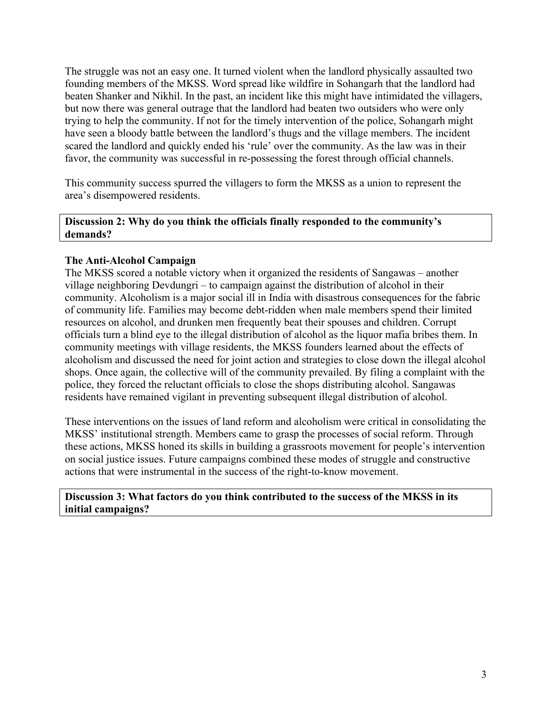The struggle was not an easy one. It turned violent when the landlord physically assaulted two founding members of the MKSS. Word spread like wildfire in Sohangarh that the landlord had beaten Shanker and Nikhil. In the past, an incident like this might have intimidated the villagers, but now there was general outrage that the landlord had beaten two outsiders who were only trying to help the community. If not for the timely intervention of the police, Sohangarh might have seen a bloody battle between the landlord's thugs and the village members. The incident scared the landlord and quickly ended his 'rule' over the community. As the law was in their favor, the community was successful in re-possessing the forest through official channels.

This community success spurred the villagers to form the MKSS as a union to represent the area's disempowered residents.

#### **Discussion 2: Why do you think the officials finally responded to the community's demands?**

## **The Anti-Alcohol Campaign**

The MKSS scored a notable victory when it organized the residents of Sangawas – another village neighboring Devdungri – to campaign against the distribution of alcohol in their community. Alcoholism is a major social ill in India with disastrous consequences for the fabric of community life. Families may become debt-ridden when male members spend their limited resources on alcohol, and drunken men frequently beat their spouses and children. Corrupt officials turn a blind eye to the illegal distribution of alcohol as the liquor mafia bribes them. In community meetings with village residents, the MKSS founders learned about the effects of alcoholism and discussed the need for joint action and strategies to close down the illegal alcohol shops. Once again, the collective will of the community prevailed. By filing a complaint with the police, they forced the reluctant officials to close the shops distributing alcohol. Sangawas residents have remained vigilant in preventing subsequent illegal distribution of alcohol.

These interventions on the issues of land reform and alcoholism were critical in consolidating the MKSS' institutional strength. Members came to grasp the processes of social reform. Through these actions, MKSS honed its skills in building a grassroots movement for people's intervention on social justice issues. Future campaigns combined these modes of struggle and constructive actions that were instrumental in the success of the right-to-know movement.

#### **Discussion 3: What factors do you think contributed to the success of the MKSS in its initial campaigns?**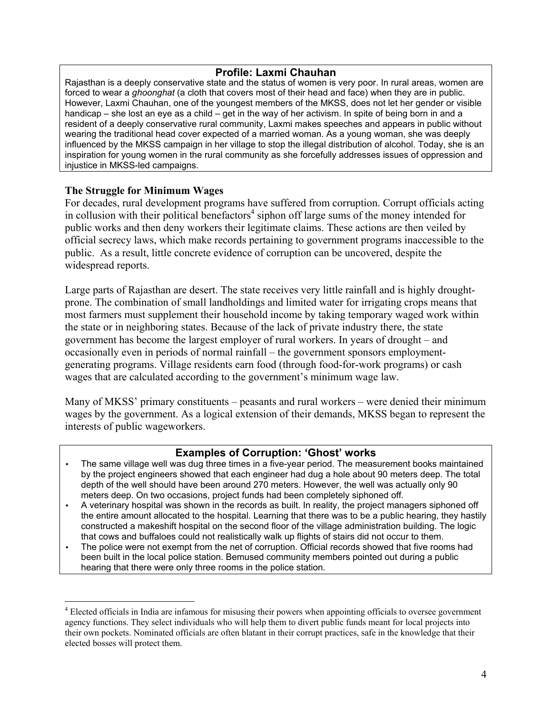#### **Profile: Laxmi Chauhan**

Rajasthan is a deeply conservative state and the status of women is very poor. In rural areas, women are forced to wear a *ghoonghat* (a cloth that covers most of their head and face) when they are in public. However, Laxmi Chauhan, one of the youngest members of the MKSS, does not let her gender or visible handicap – she lost an eye as a child – get in the way of her activism. In spite of being born in and a resident of a deeply conservative rural community, Laxmi makes speeches and appears in public without wearing the traditional head cover expected of a married woman. As a young woman, she was deeply influenced by the MKSS campaign in her village to stop the illegal distribution of alcohol. Today, she is an inspiration for young women in the rural community as she forcefully addresses issues of oppression and injustice in MKSS-led campaigns.

## **The Struggle for Minimum Wages**

 $\overline{a}$ 

For decades, rural development programs have suffered from corruption. Corrupt officials acting in collusion with their political benefactors<sup>4</sup> siphon off large sums of the money intended for public works and then deny workers their legitimate claims. These actions are then veiled by official secrecy laws, which make records pertaining to government programs inaccessible to the public. As a result, little concrete evidence of corruption can be uncovered, despite the widespread reports.

Large parts of Rajasthan are desert. The state receives very little rainfall and is highly droughtprone. The combination of small landholdings and limited water for irrigating crops means that most farmers must supplement their household income by taking temporary waged work within the state or in neighboring states. Because of the lack of private industry there, the state government has become the largest employer of rural workers. In years of drought – and occasionally even in periods of normal rainfall – the government sponsors employmentgenerating programs. Village residents earn food (through food-for-work programs) or cash wages that are calculated according to the government's minimum wage law.

Many of MKSS' primary constituents – peasants and rural workers – were denied their minimum wages by the government. As a logical extension of their demands, MKSS began to represent the interests of public wageworkers.

## **Examples of Corruption: 'Ghost' works**

- The same village well was dug three times in a five-year period. The measurement books maintained by the project engineers showed that each engineer had dug a hole about 90 meters deep. The total depth of the well should have been around 270 meters. However, the well was actually only 90 meters deep. On two occasions, project funds had been completely siphoned off.
- A veterinary hospital was shown in the records as built. In reality, the project managers siphoned off the entire amount allocated to the hospital. Learning that there was to be a public hearing, they hastily constructed a makeshift hospital on the second floor of the village administration building. The logic that cows and buffaloes could not realistically walk up flights of stairs did not occur to them.
- The police were not exempt from the net of corruption. Official records showed that five rooms had been built in the local police station. Bemused community members pointed out during a public hearing that there were only three rooms in the police station.

<sup>&</sup>lt;sup>4</sup> Elected officials in India are infamous for misusing their powers when appointing officials to oversee government agency functions. They select individuals who will help them to divert public funds meant for local projects into their own pockets. Nominated officials are often blatant in their corrupt practices, safe in the knowledge that their elected bosses will protect them.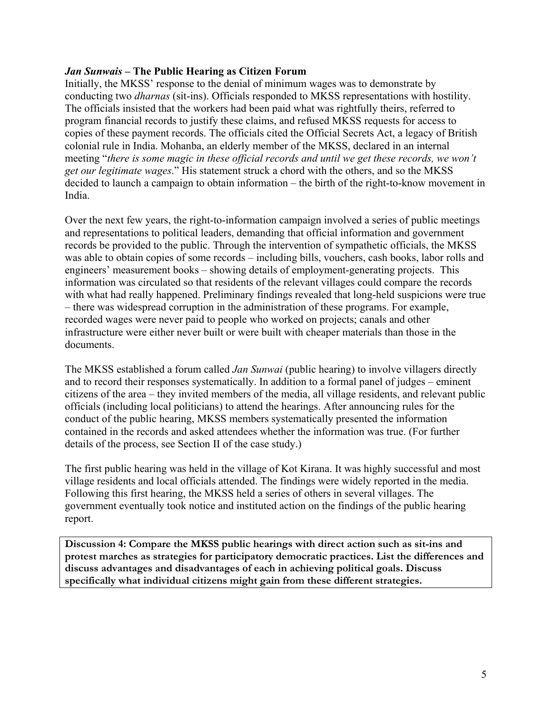### *Jan Sunwais* **– The Public Hearing as Citizen Forum**

Initially, the MKSS' response to the denial of minimum wages was to demonstrate by conducting two *dharnas* (sit-ins). Officials responded to MKSS representations with hostility. The officials insisted that the workers had been paid what was rightfully theirs, referred to program financial records to justify these claims, and refused MKSS requests for access to copies of these payment records. The officials cited the Official Secrets Act, a legacy of British colonial rule in India. Mohanba, an elderly member of the MKSS, declared in an internal meeting "*there is some magic in these official records and until we get these records, we won't get our legitimate wages*." His statement struck a chord with the others, and so the MKSS decided to launch a campaign to obtain information – the birth of the right-to-know movement in India.

Over the next few years, the right-to-information campaign involved a series of public meetings and representations to political leaders, demanding that official information and government records be provided to the public. Through the intervention of sympathetic officials, the MKSS was able to obtain copies of some records – including bills, vouchers, cash books, labor rolls and engineers' measurement books – showing details of employment-generating projects. This information was circulated so that residents of the relevant villages could compare the records with what had really happened. Preliminary findings revealed that long-held suspicions were true – there was widespread corruption in the administration of these programs. For example, recorded wages were never paid to people who worked on projects; canals and other infrastructure were either never built or were built with cheaper materials than those in the documents.

The MKSS established a forum called *Jan Sunwai* (public hearing) to involve villagers directly and to record their responses systematically. In addition to a formal panel of judges – eminent citizens of the area – they invited members of the media, all village residents, and relevant public officials (including local politicians) to attend the hearings. After announcing rules for the conduct of the public hearing, MKSS members systematically presented the information contained in the records and asked attendees whether the information was true. (For further details of the process, see Section II of the case study.)

The first public hearing was held in the village of Kot Kirana. It was highly successful and most village residents and local officials attended. The findings were widely reported in the media. Following this first hearing, the MKSS held a series of others in several villages. The government eventually took notice and instituted action on the findings of the public hearing report.

**Discussion 4: Compare the MKSS public hearings with direct action such as sit-ins and protest marches as strategies for participatory democratic practices. List the differences and discuss advantages and disadvantages of each in achieving political goals. Discuss specifically what individual citizens might gain from these different strategies.**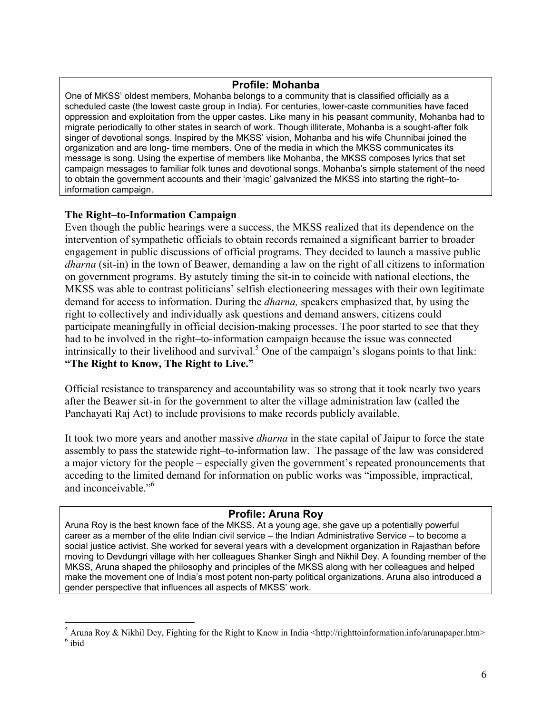#### **Profile: Mohanba**

One of MKSS' oldest members, Mohanba belongs to a community that is classified officially as a scheduled caste (the lowest caste group in India). For centuries, lower-caste communities have faced oppression and exploitation from the upper castes. Like many in his peasant community, Mohanba had to migrate periodically to other states in search of work. Though illiterate, Mohanba is a sought-after folk singer of devotional songs. Inspired by the MKSS' vision, Mohanba and his wife Chunnibai joined the organization and are long- time members. One of the media in which the MKSS communicates its message is song. Using the expertise of members like Mohanba, the MKSS composes lyrics that set campaign messages to familiar folk tunes and devotional songs. Mohanba's simple statement of the need to obtain the government accounts and their 'magic' galvanized the MKSS into starting the right–toinformation campaign.

#### **The Right–to-Information Campaign**

 $\overline{a}$ 

Even though the public hearings were a success, the MKSS realized that its dependence on the intervention of sympathetic officials to obtain records remained a significant barrier to broader engagement in public discussions of official programs. They decided to launch a massive public *dharna* (sit-in) in the town of Beawer, demanding a law on the right of all citizens to information on government programs. By astutely timing the sit-in to coincide with national elections, the MKSS was able to contrast politicians' selfish electioneering messages with their own legitimate demand for access to information. During the *dharna,* speakers emphasized that, by using the right to collectively and individually ask questions and demand answers, citizens could participate meaningfully in official decision-making processes. The poor started to see that they had to be involved in the right–to-information campaign because the issue was connected intrinsically to their livelihood and survival.<sup>5</sup> One of the campaign's slogans points to that link: **"The Right to Know, The Right to Live."** 

Official resistance to transparency and accountability was so strong that it took nearly two years after the Beawer sit-in for the government to alter the village administration law (called the Panchayati Raj Act) to include provisions to make records publicly available.

It took two more years and another massive *dharna* in the state capital of Jaipur to force the state assembly to pass the statewide right–to-information law. The passage of the law was considered a major victory for the people – especially given the government's repeated pronouncements that acceding to the limited demand for information on public works was "impossible, impractical, and inconceivable."<sup>6</sup>

#### **Profile: Aruna Roy**

Aruna Roy is the best known face of the MKSS. At a young age, she gave up a potentially powerful career as a member of the elite Indian civil service – the Indian Administrative Service – to become a social justice activist. She worked for several years with a development organization in Rajasthan before moving to Devdungri village with her colleagues Shanker Singh and Nikhil Dey. A founding member of the MKSS, Aruna shaped the philosophy and principles of the MKSS along with her colleagues and helped make the movement one of India's most potent non-party political organizations. Aruna also introduced a gender perspective that influences all aspects of MKSS' work.

<sup>&</sup>lt;sup>5</sup> Aruna Roy & Nikhil Dey, Fighting for the Right to Know in India <http://righttoinformation.info/arunapaper.htm> 6 ibid